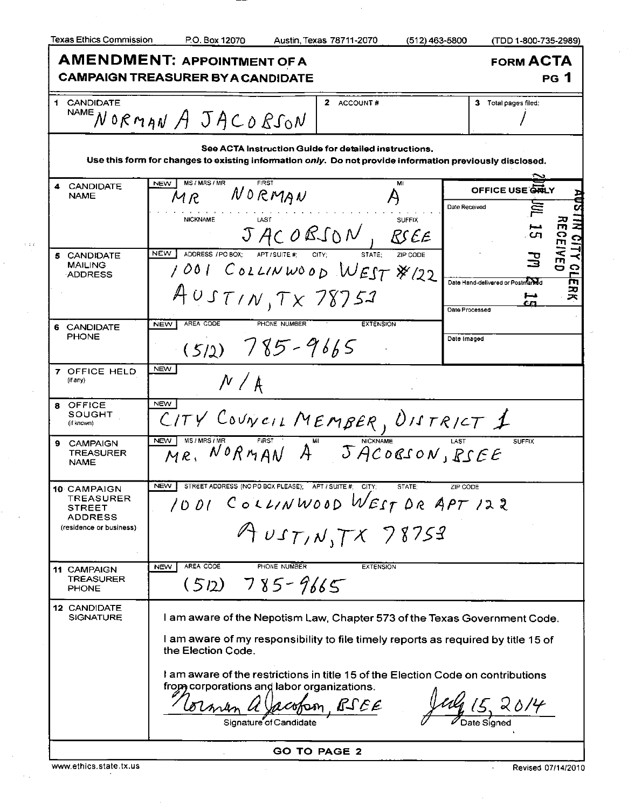|  | Texas Ethics Commission |
|--|-------------------------|
|  |                         |

 $\sim 1.3$ 

P.O. Box 12070 Austin, Texas 78711-2070 (512) 463-5800 (TDD 1-800-735-2989)

| <b>AMENDMENT: APPOINTMENT OF A</b><br><b>CAMPAIGN TREASURER BY A CANDIDATE</b>                                                                                    | <b>FORM ACTA</b><br>PG 1                                                                                                                                                                                                                                                                                               |                                                                                      |  |  |  |  |  |
|-------------------------------------------------------------------------------------------------------------------------------------------------------------------|------------------------------------------------------------------------------------------------------------------------------------------------------------------------------------------------------------------------------------------------------------------------------------------------------------------------|--------------------------------------------------------------------------------------|--|--|--|--|--|
| 1 CANDIDATE                                                                                                                                                       | 2 ACCOUNT#<br>$N$ AMENORMANA JACORSON                                                                                                                                                                                                                                                                                  | 3 Total pages filed:                                                                 |  |  |  |  |  |
| See ACTA Instruction Guide for detailed instructions.<br>Use this form for changes to existing information only. Do not provide information previously disclosed. |                                                                                                                                                                                                                                                                                                                        |                                                                                      |  |  |  |  |  |
| <b>CANDIDATE</b><br><b>NAME</b>                                                                                                                                   | MS/MRS/MR<br><b>FIRST</b><br>MI<br><b>NEW</b><br>NORMAN<br>MR<br><b>NICKNAME</b><br><b>SUFFIX</b>                                                                                                                                                                                                                      | OFFICE USE GRILY<br>Date Received                                                    |  |  |  |  |  |
| 5 CANDIDATE<br><b>MAILING</b><br><b>ADDRESS</b>                                                                                                                   | JACOBSON, RSEE<br><b>NEW</b><br>ADDRESS / PO BOX;<br>APT / SUITE #:<br>CITY:<br>STATE:<br>ZIP CODE<br>1001 COLLINWOOD WEST \$122                                                                                                                                                                                       | ىدا<br>-C.T<br>$\overline{\mathbf{C}}$<br>帀<br>Date Hand-delivered or Postmaned<br>ヌ |  |  |  |  |  |
| 6 CANDIDATE<br><b>PHONE</b>                                                                                                                                       | $405T/N$ , $Tx$ 78752<br>AREA CODE<br>PHONE NUMBER<br><b>EXTENSION</b><br><b>NEW</b><br>$(512) 785 - 9665$                                                                                                                                                                                                             | cг<br><b>Date Processed</b><br>Date Imaged                                           |  |  |  |  |  |
| <b>7 OFFICE HELD</b><br>(if any)                                                                                                                                  | <b>NEW</b><br>N / A                                                                                                                                                                                                                                                                                                    |                                                                                      |  |  |  |  |  |
| OFFICE<br>8<br>SOUGHT<br>(if known)                                                                                                                               | <b>NEW</b><br>CITY COUNCIL MEMBER, UISTRICT 1                                                                                                                                                                                                                                                                          |                                                                                      |  |  |  |  |  |
| <b>CAMPAIGN</b><br>я<br><b>TREASURER</b><br><b>NAME</b>                                                                                                           | <b>NEW</b><br>MR. NORMAN A <sup>M</sup> JACOBSON, RSEE                                                                                                                                                                                                                                                                 | <b>SUFFIX</b>                                                                        |  |  |  |  |  |
| 10 CAMPAIGN<br>TREASURER<br>STREET<br><b>ADDRESS</b><br>(residence or business)                                                                                   | STREET ADDRESS (NO PO BOX PLEASE); APT / SUITE #: CITY;<br><b>NEW</b><br>STATE:<br>1001 COLLINWOOD WEST DR APT 122<br>$A$ UST, N, $TX$ 78753                                                                                                                                                                           | ZIP CODE                                                                             |  |  |  |  |  |
| 11 CAMPAIGN<br>TREASURER<br><b>PHONE</b>                                                                                                                          | AREA CODE<br>PHONE NUMBER<br><b>NEW</b><br><b>EXTENSION</b><br>$785 - 9665$<br>(512)                                                                                                                                                                                                                                   |                                                                                      |  |  |  |  |  |
| 12 CANDIDATE<br><b>SIGNATURE</b>                                                                                                                                  | I am aware of the Nepotism Law, Chapter 573 of the Texas Government Code.<br>I am aware of my responsibility to file timely reports as required by title 15 of<br>the Election Code.<br>I am aware of the restrictions in title 15 of the Election Code on contributions<br>from corporations and labor organizations. |                                                                                      |  |  |  |  |  |
|                                                                                                                                                                   | RSEE<br>Signature of Candidate<br><b>GO TO PAGE 2</b>                                                                                                                                                                                                                                                                  |                                                                                      |  |  |  |  |  |